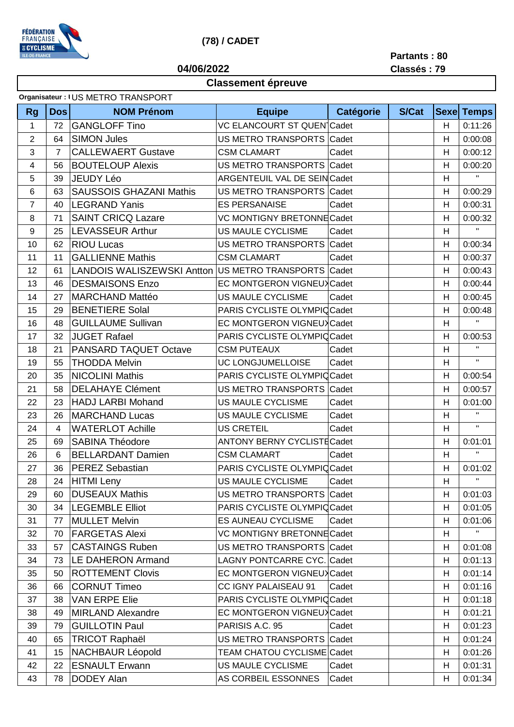

## **(78) / CADET**

**Partants : 80**

**Classés : 79**

## **04/06/2022**

## **Classement épreuve**

|              | Organisateur: IUS METRO TRANSPORT |                                   |                                    |                  |              |             |              |  |
|--------------|-----------------------------------|-----------------------------------|------------------------------------|------------------|--------------|-------------|--------------|--|
| <b>Rg</b>    | Dos                               | <b>NOM Prénom</b>                 | <b>Equipe</b>                      | <b>Catégorie</b> | <b>S/Cat</b> | <b>Sexe</b> | <b>Temps</b> |  |
| $\mathbf{1}$ | 72                                | <b>GANGLOFF Tino</b>              | VC ELANCOURT ST QUEN Cadet         |                  |              | H           | 0:11:26      |  |
| $\sqrt{2}$   | 64                                | <b>SIMON Jules</b>                | US METRO TRANSPORTS Cadet          |                  |              | H           | 0:00:08      |  |
| 3            | $\overline{7}$                    | <b>CALLEWAERT Gustave</b>         | <b>CSM CLAMART</b>                 | Cadet            |              | H           | 0:00:12      |  |
| 4            | 56                                | <b>BOUTELOUP Alexis</b>           | US METRO TRANSPORTS Cadet          |                  |              | H           | 0:00:20      |  |
| 5            | 39                                | <b>JEUDY Léo</b>                  | ARGENTEUIL VAL DE SEIN Cadet       |                  |              | H           | $\mathbf{H}$ |  |
| 6            | 63                                | <b>SAUSSOIS GHAZANI Mathis</b>    | US METRO TRANSPORTS Cadet          |                  |              | H           | 0:00:29      |  |
| 7            | 40                                | <b>LEGRAND Yanis</b>              | <b>ES PERSANAISE</b>               | Cadet            |              | H           | 0:00:31      |  |
| 8            | 71                                | <b>SAINT CRICQ Lazare</b>         | VC MONTIGNY BRETONNE Cadet         |                  |              | H           | 0:00:32      |  |
| 9            | 25                                | <b>LEVASSEUR Arthur</b>           | US MAULE CYCLISME                  | Cadet            |              | H           | $\mathbf H$  |  |
| 10           | 62                                | <b>RIOU Lucas</b>                 | US METRO TRANSPORTS                | Cadet            |              | H           | 0:00:34      |  |
| 11           | 11                                | <b>GALLIENNE Mathis</b>           | <b>CSM CLAMART</b>                 | Cadet            |              | Н           | 0:00:37      |  |
| 12           | 61                                | <b>LANDOIS WALISZEWSKI Antton</b> | US METRO TRANSPORTS Cadet          |                  |              | Н           | 0:00:43      |  |
| 13           | 46                                | <b>DESMAISONS Enzo</b>            | EC MONTGERON VIGNEUX Cadet         |                  |              | Н           | 0:00:44      |  |
| 14           | 27                                | <b>MARCHAND Mattéo</b>            | US MAULE CYCLISME                  | Cadet            |              | H           | 0:00:45      |  |
| 15           | 29                                | <b>BENETIERE Solal</b>            | PARIS CYCLISTE OLYMPICCadet        |                  |              | H           | 0:00:48      |  |
| 16           | 48                                | <b>GUILLAUME Sullivan</b>         | EC MONTGERON VIGNEUX Cadet         |                  |              | H           | $\mathbf{H}$ |  |
| 17           | 32                                | <b>JUGET Rafael</b>               | PARIS CYCLISTE OLYMPIC Cadet       |                  |              | H           | 0:00:53      |  |
| 18           | 21                                | PANSARD TAQUET Octave             | <b>CSM PUTEAUX</b>                 | Cadet            |              | H           | $\mathbf{H}$ |  |
| 19           | 55                                | <b>THODDA Melvin</b>              | UC LONGJUMELLOISE                  | Cadet            |              | H           | $\mathbf H$  |  |
| 20           | 35                                | <b>NICOLINI Mathis</b>            | PARIS CYCLISTE OLYMPIC Cadet       |                  |              | H           | 0:00:54      |  |
| 21           | 58                                | <b>DELAHAYE Clément</b>           | US METRO TRANSPORTS Cadet          |                  |              | H           | 0:00:57      |  |
| 22           | 23                                | <b>HADJ LARBI Mohand</b>          | US MAULE CYCLISME                  | Cadet            |              | Н           | 0:01:00      |  |
| 23           | 26                                | <b>MARCHAND Lucas</b>             | US MAULE CYCLISME                  | Cadet            |              | H           | $\mathbf H$  |  |
| 24           | 4                                 | <b>WATERLOT Achille</b>           | <b>US CRETEIL</b>                  | Cadet            |              | Н           | $\mathbf H$  |  |
| 25           | 69                                | SABINA Théodore                   | <b>ANTONY BERNY CYCLISTE Cadet</b> |                  |              | Н           | 0:01:01      |  |
| 26           | 6                                 | <b>BELLARDANT Damien</b>          | <b>CSM CLAMART</b>                 | Cadet            |              | Н           | $\mathbf{H}$ |  |
| 27           | 36                                | <b>PEREZ Sebastian</b>            | PARIS CYCLISTE OLYMPIC Cadet       |                  |              | H           | 0:01:02      |  |
| 28           | 24                                | <b>HITMI</b> Leny                 | <b>US MAULE CYCLISME</b>           | Cadet            |              | H           | $\mathbf{H}$ |  |
| 29           | 60                                | <b>DUSEAUX Mathis</b>             | US METRO TRANSPORTS Cadet          |                  |              | H           | 0:01:03      |  |
| 30           | 34                                | <b>LEGEMBLE Elliot</b>            | PARIS CYCLISTE OLYMPIC Cadet       |                  |              | H           | 0:01:05      |  |
| 31           | 77                                | <b>MULLET Melvin</b>              | ES AUNEAU CYCLISME                 | Cadet            |              | H           | 0:01:06      |  |
| 32           | 70                                | <b>FARGETAS Alexi</b>             | VC MONTIGNY BRETONNE Cadet         |                  |              | H           | H.           |  |
| 33           | 57                                | <b>CASTAINGS Ruben</b>            | US METRO TRANSPORTS Cadet          |                  |              | H           | 0:01:08      |  |
| 34           | 73                                | <b>LE DAHERON Armand</b>          | LAGNY PONTCARRE CYC. Cadet         |                  |              | H           | 0:01:13      |  |
| 35           | 50                                | <b>ROTTEMENT Clovis</b>           | EC MONTGERON VIGNEUX Cadet         |                  |              | H           | 0:01:14      |  |
| 36           | 66                                | <b>CORNUT Timeo</b>               | CC IGNY PALAISEAU 91               | Cadet            |              | H           | 0:01:16      |  |
| 37           | 38                                | <b>VAN ERPE Elie</b>              | PARIS CYCLISTE OLYMPIC Cadet       |                  |              | H           | 0:01:18      |  |
| 38           | 49                                | <b>MIRLAND Alexandre</b>          | EC MONTGERON VIGNEUX Cadet         |                  |              | H           | 0:01:21      |  |
| 39           | 79                                | <b>GUILLOTIN Paul</b>             | PARISIS A.C. 95                    | Cadet            |              | H           | 0:01:23      |  |
| 40           | 65                                | <b>TRICOT Raphaël</b>             | US METRO TRANSPORTS Cadet          |                  |              | H           | 0:01:24      |  |
| 41           | 15                                | <b>NACHBAUR Léopold</b>           | TEAM CHATOU CYCLISME Cadet         |                  |              | H           | 0:01:26      |  |
| 42           | 22                                | <b>ESNAULT Erwann</b>             | US MAULE CYCLISME                  | Cadet            |              | H           | 0:01:31      |  |
| 43           | 78                                | <b>DODEY Alan</b>                 | AS CORBEIL ESSONNES                | Cadet            |              | H           | 0:01:34      |  |